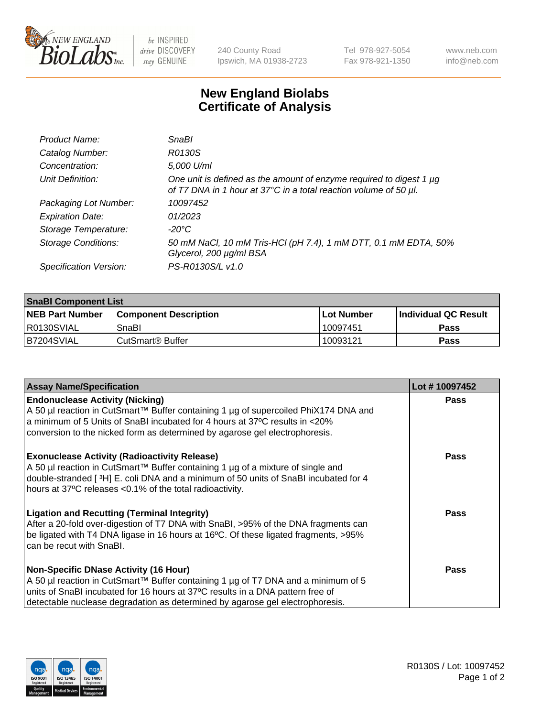

 $be$  INSPIRED drive DISCOVERY stay GENUINE

240 County Road Ipswich, MA 01938-2723 Tel 978-927-5054 Fax 978-921-1350 www.neb.com info@neb.com

## **New England Biolabs Certificate of Analysis**

| Product Name:              | <b>SnaBl</b>                                                                                                                            |
|----------------------------|-----------------------------------------------------------------------------------------------------------------------------------------|
| Catalog Number:            | R0130S                                                                                                                                  |
| Concentration:             | 5,000 U/ml                                                                                                                              |
| Unit Definition:           | One unit is defined as the amount of enzyme required to digest 1 µg<br>of T7 DNA in 1 hour at 37°C in a total reaction volume of 50 µl. |
| Packaging Lot Number:      | 10097452                                                                                                                                |
| <b>Expiration Date:</b>    | 01/2023                                                                                                                                 |
| Storage Temperature:       | -20°C                                                                                                                                   |
| <b>Storage Conditions:</b> | 50 mM NaCl, 10 mM Tris-HCl (pH 7.4), 1 mM DTT, 0.1 mM EDTA, 50%<br>Glycerol, 200 µg/ml BSA                                              |
| Specification Version:     | PS-R0130S/L v1.0                                                                                                                        |

| <b>SnaBI Component List</b> |                         |             |                             |  |
|-----------------------------|-------------------------|-------------|-----------------------------|--|
| <b>NEB Part Number</b>      | l Component Description | ⊺Lot Number | <b>Individual QC Result</b> |  |
| R0130SVIAL                  | SnaBl                   | 10097451    | Pass                        |  |
| B7204SVIAL                  | l CutSmart® Buffer      | 10093121    | Pass                        |  |

| <b>Assay Name/Specification</b>                                                                                                                                                                                                                                                                      | Lot #10097452 |
|------------------------------------------------------------------------------------------------------------------------------------------------------------------------------------------------------------------------------------------------------------------------------------------------------|---------------|
| <b>Endonuclease Activity (Nicking)</b><br>A 50 µl reaction in CutSmart™ Buffer containing 1 µg of supercoiled PhiX174 DNA and<br>a minimum of 5 Units of SnaBI incubated for 4 hours at 37°C results in <20%<br>conversion to the nicked form as determined by agarose gel electrophoresis.          | <b>Pass</b>   |
| <b>Exonuclease Activity (Radioactivity Release)</b><br>A 50 µl reaction in CutSmart™ Buffer containing 1 µg of a mixture of single and<br>double-stranded [3H] E. coli DNA and a minimum of 50 units of SnaBI incubated for 4<br>hours at 37°C releases <0.1% of the total radioactivity.            | <b>Pass</b>   |
| <b>Ligation and Recutting (Terminal Integrity)</b><br>After a 20-fold over-digestion of T7 DNA with SnaBI, >95% of the DNA fragments can<br>be ligated with T4 DNA ligase in 16 hours at 16°C. Of these ligated fragments, >95%<br>can be recut with SnaBI.                                          | Pass          |
| <b>Non-Specific DNase Activity (16 Hour)</b><br>A 50 µl reaction in CutSmart™ Buffer containing 1 µg of T7 DNA and a minimum of 5<br>units of SnaBI incubated for 16 hours at 37°C results in a DNA pattern free of<br>detectable nuclease degradation as determined by agarose gel electrophoresis. | Pass          |